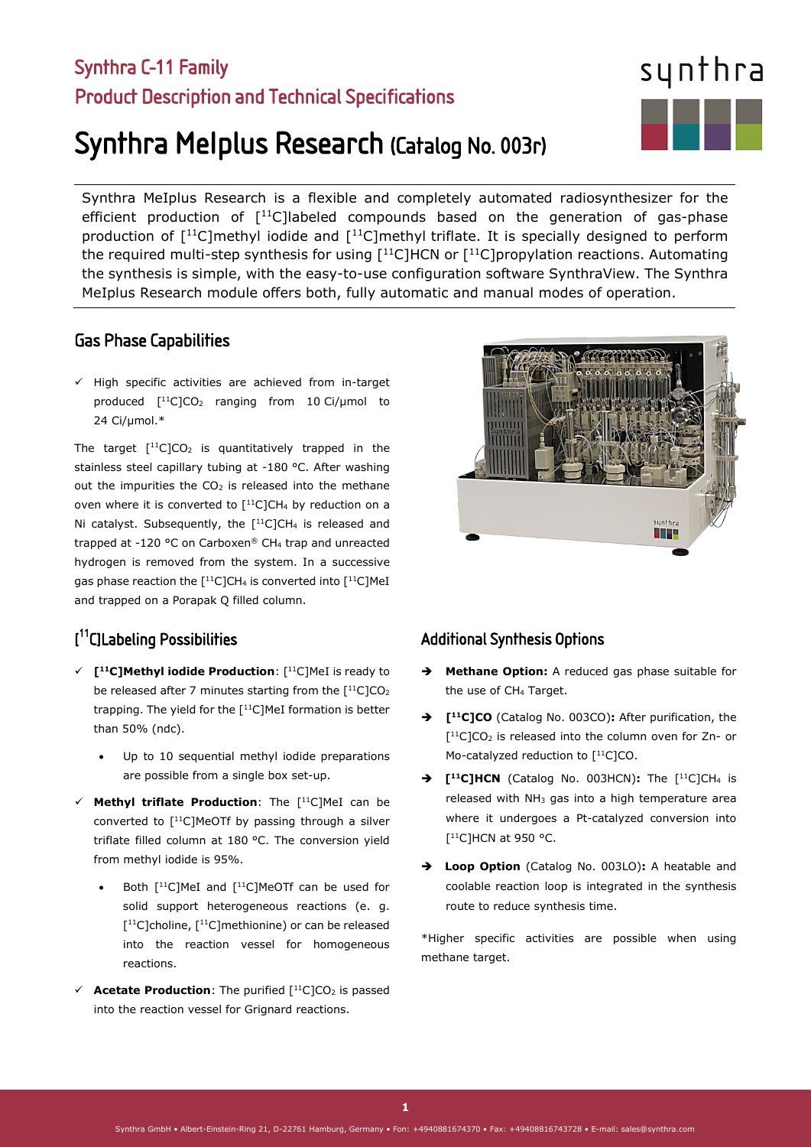### Synthra C-11 Family Product Description and Technical Specifications

# Synthra MeIplus Research (Catalog No. 003r)

Synthra MeIplus Research is a flexible and completely automated radiosynthesizer for the efficient production of  $[11C]$ labeled compounds based on the generation of gas-phase production of  $[11C]$ methyl iodide and  $[11C]$ methyl triflate. It is specially designed to perform the required multi-step synthesis for using  $[11C]HCN$  or  $[11C]$ propylation reactions. Automating the synthesis is simple, with the easy-to-use configuration software SynthraView. The Synthra MeIplus Research module offers both, fully automatic and manual modes of operation.

#### Gas Phase Capabilities

 $\checkmark$  High specific activities are achieved from in-target produced  $[$ <sup>11</sup>C]CO<sub>2</sub> ranging from 10 Ci/µmol to 24 Ci/µmol.\*

The target  $[$ <sup>11</sup>C]CO<sub>2</sub> is quantitatively trapped in the stainless steel capillary tubing at -180 °C. After washing out the impurities the  $CO<sub>2</sub>$  is released into the methane oven where it is converted to  $[$ <sup>11</sup>C]CH<sub>4</sub> by reduction on a Ni catalyst. Subsequently, the  $[$ <sup>11</sup>C]CH<sub>4</sub> is released and trapped at -120 °C on Carboxen® CH4 trap and unreacted hydrogen is removed from the system. In a successive gas phase reaction the  $[$ <sup>11</sup>C]CH<sub>4</sub> is converted into  $[$ <sup>11</sup>C]MeI and trapped on a Porapak Q filled column.

#### [ 11C]Labeling Possibilities

- **[11C]Methyl iodide Production**: [11C]MeI is ready to be released after 7 minutes starting from the  $[$ <sup>11</sup>C]CO<sub>2</sub> trapping. The yield for the [11C]MeI formation is better than 50% (ndc).
	- Up to 10 sequential methyl iodide preparations are possible from a single box set-up.
- **Methyl triflate Production**: The [11C]MeI can be converted to  $[$ <sup>11</sup>C]MeOTf by passing through a silver triflate filled column at 180 °C. The conversion yield from methyl iodide is 95%.
	- Both [<sup>11</sup>C]MeI and [<sup>11</sup>C]MeOTf can be used for solid support heterogeneous reactions (e. g.  $[$ <sup>11</sup>C]choline,  $[$ <sup>11</sup>C]methionine) or can be released into the reaction vessel for homogeneous reactions.
- $\checkmark$  **Acetate Production**: The purified  $[^{11}C]CO_2$  is passed into the reaction vessel for Grignard reactions.



#### Additional Synthesis Options

- **Methane Option:** A reduced gas phase suitable for the use of CH<sub>4</sub> Target.
- **[11C]CO** (Catalog No. 003CO)**:** After purification, the  $[$ <sup>11</sup>C]CO<sub>2</sub> is released into the column oven for Zn- or Mo-catalyzed reduction to [<sup>11</sup>C]CO.
- **[11C]HCN** (Catalog No. 003HCN)**:** The [11C]CH4 is released with  $NH<sub>3</sub>$  gas into a high temperature area where it undergoes a Pt-catalyzed conversion into [<sup>11</sup>C]HCN at 950 °C.
- **Loop Option** (Catalog No. 003LO)**:** A heatable and coolable reaction loop is integrated in the synthesis route to reduce synthesis time.

\*Higher specific activities are possible when using methane target.